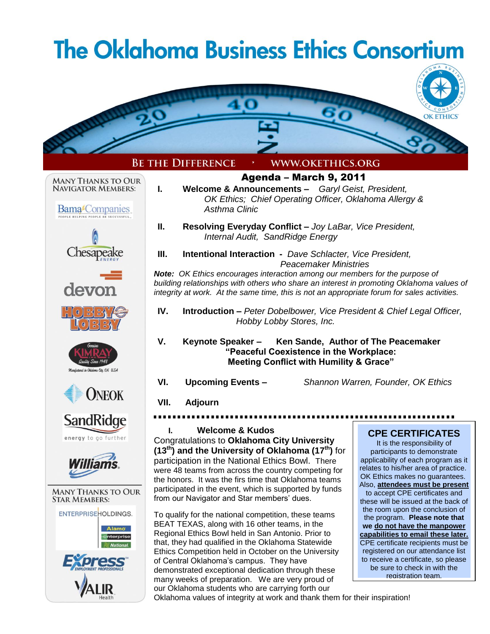# **The Oklahoma Business Ethics Consortium**



#### **BE THE DIFFERENCE WWW.OKETHICS.ORG**



**Bama**<sup>&</sup>Companies



















#### Agenda – March 9, 2011

- **I. Welcome & Announcements** *Garyl Geist, President, OK Ethics; Chief Operating Officer, Oklahoma Allergy & Asthma Clinic*
- **II. Resolving Everyday Conflict –** *Joy LaBar, Vice President, Internal Audit, SandRidge Energy*
- **III. Intentional Interaction -** *Dave Schlacter, Vice President, Peacemaker Ministries*

*Note: OK Ethics encourages interaction among our members for the purpose of building relationships with others who share an interest in promoting Oklahoma values of integrity at work. At the same time, this is not an appropriate forum for sales activities.* 

- **IV. Introduction –** *Peter Dobelbower, Vice President & Chief Legal Officer, Hobby Lobby Stores, Inc.*
- **V. Keynote Speaker Ken Sande, Author of The Peacemaker "Peaceful Coexistence in the Workplace: Meeting Conflict with Humility & Grace"**
- 

**VI. Upcoming Events –** *Shannon Warren, Founder, OK Ethics* 

#### **VII. Adjourn**

**I. Welcome & Kudos**  Congratulations to **Oklahoma City University (13th) and the University of Oklahoma (17th)** for participation in the National Ethics Bowl. There were 48 teams from across the country competing for the honors. It was the firs time that Oklahoma teams participated in the event, which is supported by funds from our Navigator and Star members' dues.

To qualify for the national competition, these teams BEAT TEXAS, along with 16 other teams, in the Regional Ethics Bowl held in San Antonio. Prior to that, they had qualified in the Oklahoma Statewide Ethics Competition held in October on the University of Central Oklahoma's campus. They have demonstrated exceptional dedication through these many weeks of preparation. We are very proud of our Oklahoma students who are carrying forth our

#### **CPE CERTIFICATES**

It is the responsibility of participants to demonstrate applicability of each program as it relates to his/her area of practice. OK Ethics makes no guarantees. Also, **attendees must be present**  to accept CPE certificates and these will be issued at the back of the room upon the conclusion of the program. **Please note that** 

**we do not have the manpower capabilities to email these later.**  CPE certificate recipients must be registered on our attendance list to receive a certificate, so please be sure to check in with the registration team.

Oklahoma values of integrity at work and thank them for their inspiration!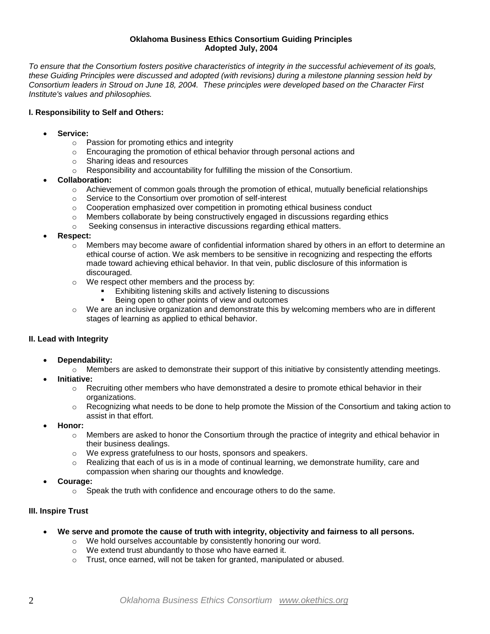#### **Oklahoma Business Ethics Consortium Guiding Principles Adopted July, 2004**

*To ensure that the Consortium fosters positive characteristics of integrity in the successful achievement of its goals, these Guiding Principles were discussed and adopted (with revisions) during a milestone planning session held by Consortium leaders in Stroud on June 18, 2004. These principles were developed based on the Character First Institute's values and philosophies.* 

#### **I. Responsibility to Self and Others:**

- **Service:**
	- o Passion for promoting ethics and integrity
	- $\circ$  Encouraging the promotion of ethical behavior through personal actions and
	- o Sharing ideas and resources
	- $\circ$  Responsibility and accountability for fulfilling the mission of the Consortium.
- **Collaboration:**
	- o Achievement of common goals through the promotion of ethical, mutually beneficial relationships
	- o Service to the Consortium over promotion of self-interest
	- $\circ$  Cooperation emphasized over competition in promoting ethical business conduct
	- $\circ$  Members collaborate by being constructively engaged in discussions regarding ethics
	- $\circ$  Seeking consensus in interactive discussions regarding ethical matters.
- **Respect:**
	- $\circ$  Members may become aware of confidential information shared by others in an effort to determine an ethical course of action. We ask members to be sensitive in recognizing and respecting the efforts made toward achieving ethical behavior. In that vein, public disclosure of this information is discouraged.
	- o We respect other members and the process by:
		- Exhibiting listening skills and actively listening to discussions
		- Being open to other points of view and outcomes
	- $\circ$  We are an inclusive organization and demonstrate this by welcoming members who are in different stages of learning as applied to ethical behavior.

#### **II. Lead with Integrity**

- **Dependability:**
	- $\circ$  Members are asked to demonstrate their support of this initiative by consistently attending meetings.
- **Initiative:**
	- $\circ$  Recruiting other members who have demonstrated a desire to promote ethical behavior in their organizations.
	- $\circ$  Recognizing what needs to be done to help promote the Mission of the Consortium and taking action to assist in that effort.
- **Honor:**
	- $\circ$  Members are asked to honor the Consortium through the practice of integrity and ethical behavior in their business dealings.
	- o We express gratefulness to our hosts, sponsors and speakers.
	- $\circ$  Realizing that each of us is in a mode of continual learning, we demonstrate humility, care and compassion when sharing our thoughts and knowledge.
- **Courage:**
	- o Speak the truth with confidence and encourage others to do the same.

#### **III. Inspire Trust**

- **We serve and promote the cause of truth with integrity, objectivity and fairness to all persons.**
	- o We hold ourselves accountable by consistently honoring our word.
		- o We extend trust abundantly to those who have earned it.
		- o Trust, once earned, will not be taken for granted, manipulated or abused.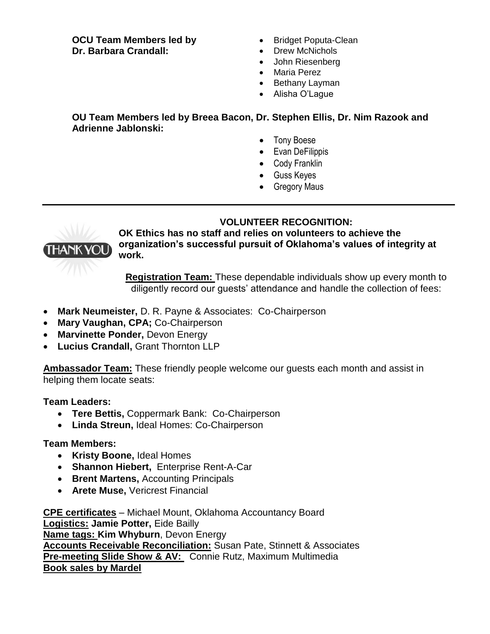**OCU Team Members led by Dr. Barbara Crandall:** 

- Bridget Poputa-Clean
- Drew McNichols
- John Riesenberg
- Maria Perez
- Bethany Layman
- Alisha O'Lague

**OU Team Members led by Breea Bacon, Dr. Stephen Ellis, Dr. Nim Razook and Adrienne Jablonski:** 

- Tony Boese
- **•** Evan DeFilippis
- Cody Franklin
- Guss Keyes
- Gregory Maus

#### **VOLUNTEER RECOGNITION:**

**OK Ethics has no staff and relies on volunteers to achieve the organization's successful pursuit of Oklahoma's values of integrity at work.**

**Registration Team:** These dependable individuals show up every month to diligently record our guests' attendance and handle the collection of fees:

- **Mark Neumeister,** D. R. Payne & Associates: Co-Chairperson
- **Mary Vaughan, CPA;** Co-Chairperson
- **Marvinette Ponder, Devon Energy**
- **Lucius Crandall,** Grant Thornton LLP

**Ambassador Team:** These friendly people welcome our guests each month and assist in helping them locate seats:

**Team Leaders:**

- **Tere Bettis,** Coppermark Bank: Co-Chairperson
- **Linda Streun,** Ideal Homes: Co-Chairperson

**Team Members:**

- **Kristy Boone,** Ideal Homes
- **Shannon Hiebert,** Enterprise Rent-A-Car
- **Brent Martens,** Accounting Principals
- **Arete Muse,** Vericrest Financial

**CPE certificates** – Michael Mount, Oklahoma Accountancy Board **Logistics: Jamie Potter,** Eide Bailly **Name tags: Kim Whyburn**, Devon Energy **Accounts Receivable Reconciliation:** Susan Pate, Stinnett & Associates **Pre-meeting Slide Show & AV:** Connie Rutz, Maximum Multimedia **Book sales by Mardel**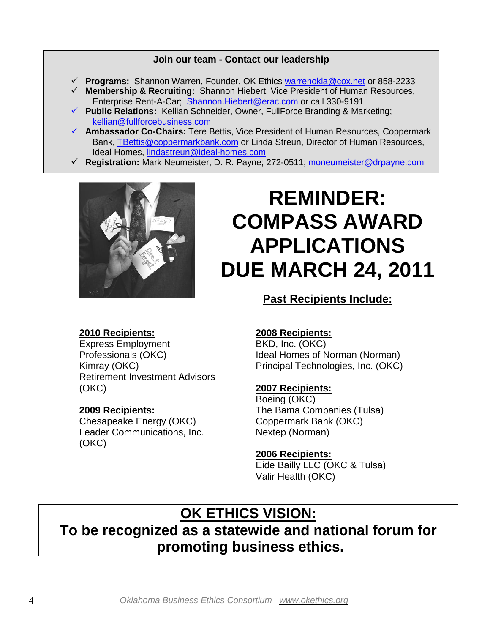#### **Join our team - Contact our leadership**

- **Programs:** Shannon Warren, Founder, OK Ethics [warrenokla@cox.net](mailto:warrenokla@cox.net) or 858-2233
- **Membership & Recruiting:** Shannon Hiebert, Vice President of Human Resources, Enterprise Rent-A-Car; [Shannon.Hiebert@erac.com](mailto:Shannon.Hiebert@erac.com) or call 330-9191
- **Public Relations:** Kellian Schneider, Owner, FullForce Branding & Marketing; [kellian@fullforcebusiness.com](mailto:kellian@fullforcebusiness.com)
- **Ambassador Co-Chairs:** Tere Bettis, Vice President of Human Resources, Coppermark Bank, [TBettis@coppermarkbank.com](mailto:TBettis@coppermarkbank.com) or Linda Streun, Director of Human Resources, Ideal Homes, [lindastreun@ideal-homes.com](mailto:lindastreun@ideal-homes.com)
- **Registration:** Mark Neumeister, D. R. Payne; 272-0511; [moneumeister@drpayne.com](mailto:moneumeister@drpayne.com)



## **REMINDER: COMPASS AWARD APPLICATIONS DUE MARCH 24, 2011**

**Past Recipients Include:**

#### **2010 Recipients:**

Express Employment Professionals (OKC) Kimray (OKC) Retirement Investment Advisors (OKC)

#### **2009 Recipients:**

Chesapeake Energy (OKC) Leader Communications, Inc. (OKC)

#### **2008 Recipients:**

BKD, Inc. (OKC) Ideal Homes of Norman (Norman) Principal Technologies, Inc. (OKC)

#### **2007 Recipients:**

Boeing (OKC) The Bama Companies (Tulsa) Coppermark Bank (OKC) Nextep (Norman)

#### **2006 Recipients:**

Eide Bailly LLC (OKC & Tulsa) Valir Health (OKC)

**OK ETHICS VISION: To be recognized as a statewide and national forum for promoting business ethics.**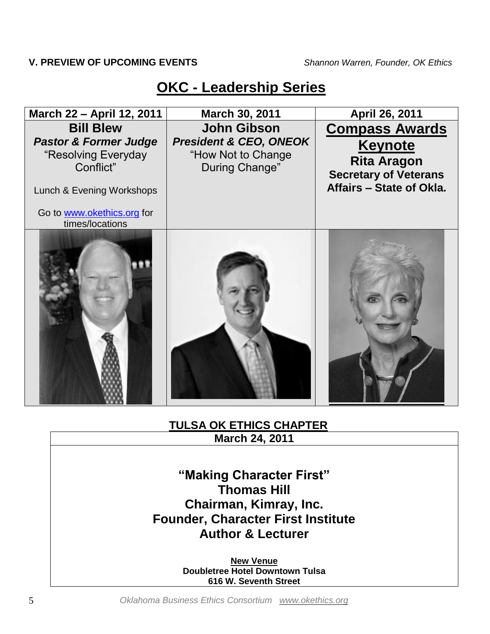#### **V. PREVIEW OF UPCOMING EVENTS** *Shannon Warren, Founder, OK Ethics*

## **OKC - Leadership Series**

| March 22 - April 12, 2011                                                                                                                                              | March 30, 2011                                                                                  | April 26, 2011                                                                                                            |
|------------------------------------------------------------------------------------------------------------------------------------------------------------------------|-------------------------------------------------------------------------------------------------|---------------------------------------------------------------------------------------------------------------------------|
| <b>Bill Blew</b><br><b>Pastor &amp; Former Judge</b><br>"Resolving Everyday<br>Conflict"<br>Lunch & Evening Workshops<br>Go to www.okethics.org for<br>times/locations | <b>John Gibson</b><br><b>President &amp; CEO, ONEOK</b><br>"How Not to Change<br>During Change" | <b>Compass Awards</b><br><b>Keynote</b><br><b>Rita Aragon</b><br><b>Secretary of Veterans</b><br>Affairs - State of Okla. |
|                                                                                                                                                                        |                                                                                                 |                                                                                                                           |

**TULSA OK ETHICS CHAPTER March 24, 2011**

**"Making Character First" Thomas Hill Chairman, Kimray, Inc. Founder, Character First Institute Author & Lecturer**

> **New Venue Doubletree Hotel Downtown Tulsa 616 W. Seventh Street**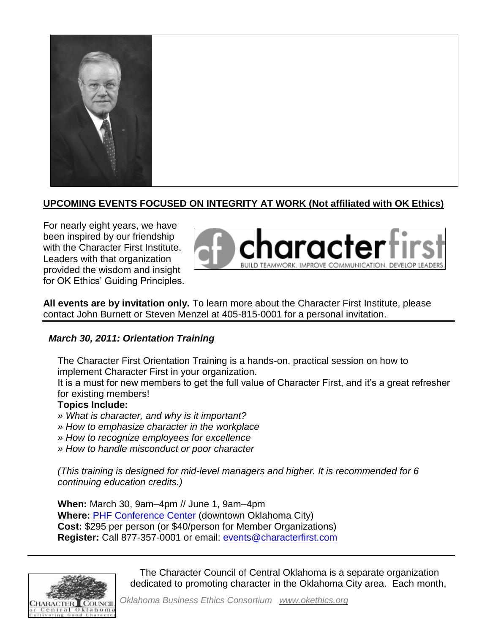

### **UPCOMING EVENTS FOCUSED ON INTEGRITY AT WORK (Not affiliated with OK Ethics)**

For nearly eight years, we have been inspired by our friendship with the Character First Institute. Leaders with that organization provided the wisdom and insight for OK Ethics' Guiding Principles.



**All events are by invitation only.** To learn more about the Character First Institute, please contact John Burnett or Steven Menzel at 405-815-0001 for a personal invitation.

#### *March 30, 2011: Orientation Training*

The Character First Orientation Training is a hands-on, practical session on how to implement Character First in your organization.

It is a must for new members to get the full value of Character First, and it's a great refresher for existing members!

#### **Topics Include:**

- *» What is character, and why is it important?*
- *» How to emphasize character in the workplace*
- *» How to recognize employees for excellence*
- *» How to handle misconduct or poor character*

*(This training is designed for mid-level managers and higher. It is recommended for 6 continuing education credits.)*

**When:** March 30, 9am–4pm // June 1, 9am–4pm **Where:** [PHF Conference Center](http://www.phfcc.com/directions.htm) (downtown Oklahoma City) **Cost:** \$295 per person (or \$40/person for Member Organizations) **Register:** Call 877-357-0001 or email: [events@characterfirst.com](mailto:events@characterfirst.com)



The Character Council of Central Oklahoma is a separate organization dedicated to promoting character in the Oklahoma City area. Each month,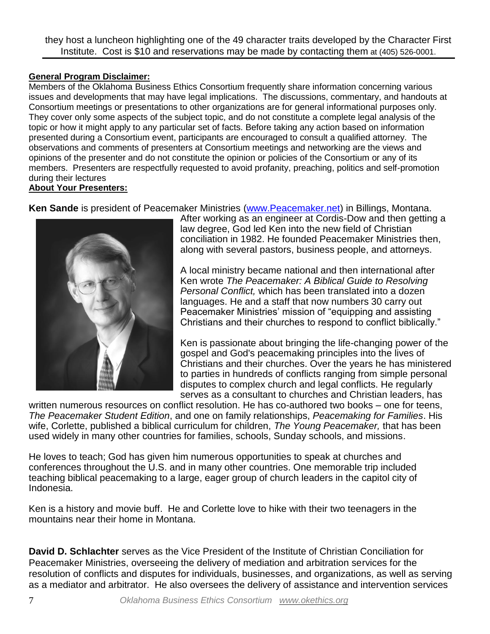they host a luncheon highlighting one of the 49 character traits developed by the Character First Institute. Cost is \$10 and reservations may be made by contacting them at (405) 526-0001.

#### **General Program Disclaimer:**

Members of the Oklahoma Business Ethics Consortium frequently share information concerning various issues and developments that may have legal implications. The discussions, commentary, and handouts at Consortium meetings or presentations to other organizations are for general informational purposes only. They cover only some aspects of the subject topic, and do not constitute a complete legal analysis of the topic or how it might apply to any particular set of facts. Before taking any action based on information presented during a Consortium event, participants are encouraged to consult a qualified attorney. The observations and comments of presenters at Consortium meetings and networking are the views and opinions of the presenter and do not constitute the opinion or policies of the Consortium or any of its members. Presenters are respectfully requested to avoid profanity, preaching, politics and self-promotion during their lectures

#### **About Your Presenters:**

**Ken Sande** is president of Peacemaker Ministries [\(www.Peacemaker.net\)](http://www.peacemaker.net/) in Billings, Montana.



After working as an engineer at Cordis-Dow and then getting a law degree, God led Ken into the new field of Christian conciliation in 1982. He founded Peacemaker Ministries then, along with several pastors, business people, and attorneys.

A local ministry became national and then international after Ken wrote *The Peacemaker: A Biblical Guide to Resolving Personal Conflict,* which has been translated into a dozen languages. He and a staff that now numbers 30 carry out Peacemaker Ministries' mission of "equipping and assisting Christians and their churches to respond to conflict biblically."

Ken is passionate about bringing the life-changing power of the gospel and God's peacemaking principles into the lives of Christians and their churches. Over the years he has ministered to parties in hundreds of conflicts ranging from simple personal disputes to complex church and legal conflicts. He regularly serves as a consultant to churches and Christian leaders, has

written numerous resources on conflict resolution. He has co-authored two books – one for teens, *The Peacemaker Student Edition*, and one on family relationships, *Peacemaking for Families*. His wife, Corlette, published a biblical curriculum for children, *The Young Peacemaker,* that has been used widely in many other countries for families, schools, Sunday schools, and missions.

He loves to teach; God has given him numerous opportunities to speak at churches and conferences throughout the U.S. and in many other countries. One memorable trip included teaching biblical peacemaking to a large, eager group of church leaders in the capitol city of Indonesia.

Ken is a history and movie buff. He and Corlette love to hike with their two teenagers in the mountains near their home in Montana.

**David D. Schlachter** serves as the Vice President of the Institute of Christian Conciliation for Peacemaker Ministries, overseeing the delivery of mediation and arbitration services for the resolution of conflicts and disputes for individuals, businesses, and organizations, as well as serving as a mediator and arbitrator. He also oversees the delivery of assistance and intervention services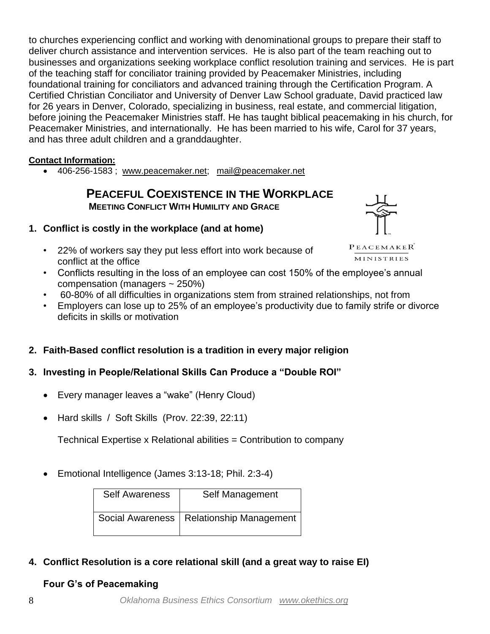to churches experiencing conflict and working with denominational groups to prepare their staff to deliver church assistance and intervention services. He is also part of the team reaching out to businesses and organizations seeking workplace conflict resolution training and services. He is part of the teaching staff for conciliator training provided by Peacemaker Ministries, including foundational training for conciliators and advanced training through the Certification Program. A Certified Christian Conciliator and University of Denver Law School graduate, David practiced law for 26 years in Denver, Colorado, specializing in business, real estate, and commercial litigation, before joining the Peacemaker Ministries staff. He has taught biblical peacemaking in his church, for Peacemaker Ministries, and internationally. He has been married to his wife, Carol for 37 years, and has three adult children and a granddaughter.

#### **Contact Information:**

406-256-1583 ; [www.peacemaker.net;](http://www.peacemaker.net/) [mail@peacemaker.net](mailto:mail@peacemaker.net)

### **PEACEFUL COEXISTENCE IN THE WORKPLACE MEETING CONFLICT WITH HUMILITY AND GRACE**

- **1. Conflict is costly in the workplace (and at home)**
	- 22% of workers say they put less effort into work because of conflict at the office



PEACEMAKER **MINISTRIES** 

- Conflicts resulting in the loss of an employee can cost 150% of the employee's annual compensation (managers ~ 250%)
- 60-80% of all difficulties in organizations stem from strained relationships, not from
- Employers can lose up to 25% of an employee's productivity due to family strife or divorce deficits in skills or motivation
- **2. Faith-Based conflict resolution is a tradition in every major religion**
- **3. Investing in People/Relational Skills Can Produce a "Double ROI"**
	- Every manager leaves a "wake" (Henry Cloud)
	- Hard skills / Soft Skills (Prov. 22:39, 22:11)

Technical Expertise x Relational abilities = Contribution to company

Emotional Intelligence (James 3:13-18; Phil. 2:3-4)

| <b>Self Awareness</b> | Self Management                            |
|-----------------------|--------------------------------------------|
|                       | Social Awareness   Relationship Management |

**4. Conflict Resolution is a core relational skill (and a great way to raise EI)**

#### **Four G's of Peacemaking**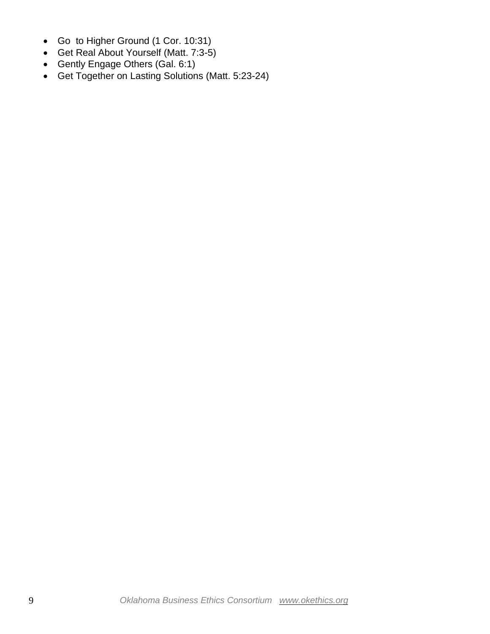- Go to Higher Ground (1 Cor. 10:31)
- Get Real About Yourself (Matt. 7:3-5)
- Gently Engage Others (Gal. 6:1)
- Get Together on Lasting Solutions (Matt. 5:23-24)